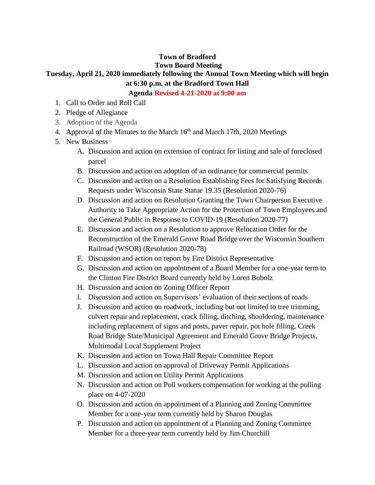## **Town of Bradford**

## **Town Board Meeting**

## **Tuesday, April 21, 2020 immediately following the Annual Town Meeting which will begin at 6:30 p.m. at the Bradford Town Hall**

**Agenda Revised 4-21-2020 at 9:00 am**

- 1. Call to Order and Roll Call
- 2. Pledge of Allegiance
- 3. Adoption of the Agenda
- 4. Approval of the Minutes to the March  $16<sup>th</sup>$  and March 17th, 2020 Meetings
- 5. New Business
	- A. Discussion and action on extension of contract for listing and sale of foreclosed parcel
	- B. Discussion and action on adoption of an ordinance for commercial permits
	- C. Discussion and action on a Resolution Establishing Fees for Satisfying Records Requests under Wisconsin State Statue 19.35 (Resolution 2020-76)
	- D. Discussion and action on Resolution Granting the Town Chairperson Executive Authority to Take Appropriate Action for the Protection of Town Employees and the General Public in Response to COVID-19 (Resolution 2020-77)
	- E. Discussion and action on a Resolution to approve Relocation Order for the Reconstruction of the Emerald Grove Road Bridge over the Wisconsin Southern Railroad (WSOR) (Resolution 2020-78)
	- F. Discussion and action on report by Fire District Representative
	- G. Discussion and action on appointment of a Board Member for a one-year term to the Clinton Fire District Board currently held by Loren Bobolz
	- H. Discussion and action on Zoning Officer Report
	- I. Discussion and action on Supervisors' evaluation of their sections of roads
	- J. Discussion and action on roadwork, including but not limited to tree trimming, culvert repair and replacement, crack filling, ditching, shouldering, maintenance including replacement of signs and posts, paver repair, pot hole filling, Creek Road Bridge State/Municipal Agreement and Emerald Grove Bridge Projects, Multimodal Local Supplement Project
	- K. Discussion and action on Town Hall Repair Committee Report
	- L. Discussion and action on approval of Driveway Permit Applications
	- M. Discussion and action on Utility Permit Applications
	- N. Discussion and action on Poll workers compensation for working at the polling place on 4-07-2020
	- O. Discussion and action on appointment of a Planning and Zoning Committee Member for a one-year term currently held by Sharon Douglas
	- P. Discussion and action on appointment of a Planning and Zoning Committee Member for a three-year term currently held by Jim Churchill